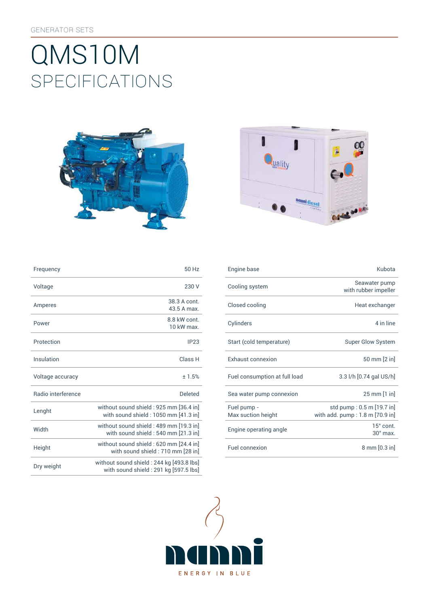# SpEcificATiONS QMS10M





| Frequency          | 50 Hz                                                                              | Engine base                       | Kubota                                                       |
|--------------------|------------------------------------------------------------------------------------|-----------------------------------|--------------------------------------------------------------|
| Voltage            | 230 V                                                                              | Cooling system                    | Seawater pump<br>with rubber impeller                        |
| Amperes            | 38.3 A cont.<br>43.5 A max.                                                        | Closed cooling                    | Heat exchanger                                               |
| Power              | 8.8 kW cont.<br>10 kW max.                                                         | Cylinders                         | 4 in line                                                    |
| Protection         | IP23                                                                               | Start (cold temperature)          | <b>Super Glow System</b>                                     |
| Insulation         | Class H                                                                            | Exhaust connexion                 | 50 mm [2 in]                                                 |
| Voltage accuracy   | ±1.5%                                                                              | Fuel consumption at full load     | 3.3 l/h [0.74 gal US/h]                                      |
| Radio interference | <b>Deleted</b>                                                                     | Sea water pump connexion          | 25 mm [1 in]                                                 |
| Lenght             | without sound shield: 925 mm [36.4 in]<br>with sound shield: 1050 mm [41.3 in]     | Fuel pump -<br>Max suction height | std pump: 0.5 m [19.7 in]<br>with add. pump: 1.8 m [70.9 in] |
| Width              | without sound shield : 489 mm [19.3 in]<br>with sound shield: 540 mm [21.3 in]     | Engine operating angle            | 15° cont<br>30° max.                                         |
| Height             | without sound shield: 620 mm [24.4 in]<br>with sound shield: 710 mm [28 in]        | Fuel connexion                    | 8 mm [0.3 in]                                                |
| Dry weight         | without sound shield: 244 kg [493.8 lbs]<br>with sound shield : 291 kg [597.5 lbs] |                                   |                                                              |

| Frequency          | 50 Hz                                                                           | Engine base                       | Kubota                                                       |
|--------------------|---------------------------------------------------------------------------------|-----------------------------------|--------------------------------------------------------------|
| Voltage            | 230 V                                                                           | Cooling system                    | Seawater pump<br>with rubber impeller                        |
| Amperes            | 38.3 A cont.<br>43.5 A max.                                                     | Closed cooling                    | Heat exchanger                                               |
| Power              | 8.8 kW cont.<br>10 kW max.                                                      | Cylinders                         | 4 in line                                                    |
| Protection         | IP23                                                                            | Start (cold temperature)          | Super Glow System                                            |
| Insulation         | Class H                                                                         | <b>Exhaust connexion</b>          | 50 mm [2 in]                                                 |
| Voltage accuracy   | ±1.5%                                                                           | Fuel consumption at full load     | 3.3 l/h [0.74 gal US/h]                                      |
| Radio interference | <b>Deleted</b>                                                                  | Sea water pump connexion          | 25 mm [1 in]                                                 |
| Lenght             | without sound shield : 925 mm [36.4 in]<br>with sound shield: 1050 mm [41.3 in] | Fuel pump -<br>Max suction height | std pump: 0.5 m [19.7 in]<br>with add. pump: 1.8 m [70.9 in] |
| Width              | without sound shield: 489 mm [19.3 in]<br>with sound shield: 540 mm [21.3 in]   | Engine operating angle            | $15^\circ$ cont.<br>$30^\circ$ max.                          |
| Height             | without sound shield: 620 mm [24.4 in]<br>with sound shield: 710 mm [28 in]     | Fuel connexion                    | 8 mm [0.3 in]                                                |